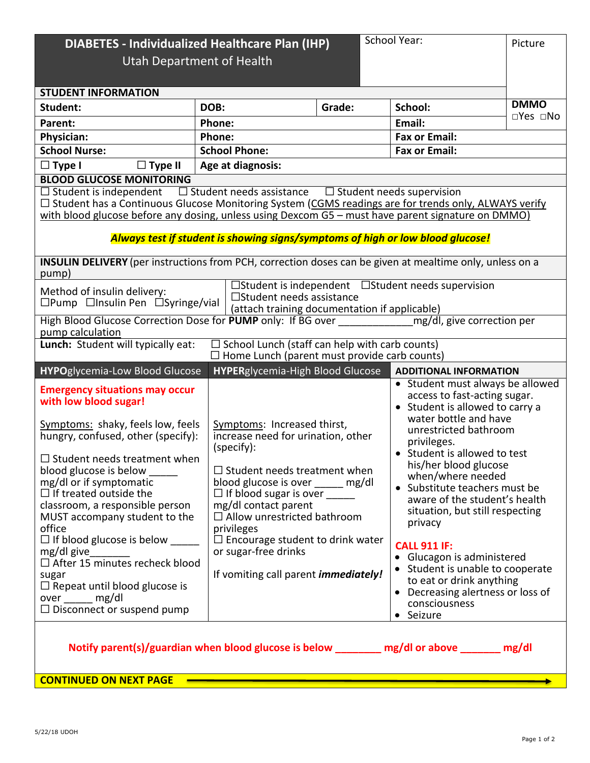| School Year:<br><b>DIABETES - Individualized Healthcare Plan (IHP)</b><br>Utah Department of Health                                                                                                                                                                                                                                                                                                                                                                                                                                                               |                                                                                                                                                                                                                                                                                                                                                                                                   |  |                                                                                                                                                                                                                                                                                                                                                                                                                                                                                                                                               |                         |  |
|-------------------------------------------------------------------------------------------------------------------------------------------------------------------------------------------------------------------------------------------------------------------------------------------------------------------------------------------------------------------------------------------------------------------------------------------------------------------------------------------------------------------------------------------------------------------|---------------------------------------------------------------------------------------------------------------------------------------------------------------------------------------------------------------------------------------------------------------------------------------------------------------------------------------------------------------------------------------------------|--|-----------------------------------------------------------------------------------------------------------------------------------------------------------------------------------------------------------------------------------------------------------------------------------------------------------------------------------------------------------------------------------------------------------------------------------------------------------------------------------------------------------------------------------------------|-------------------------|--|
| <b>STUDENT INFORMATION</b>                                                                                                                                                                                                                                                                                                                                                                                                                                                                                                                                        |                                                                                                                                                                                                                                                                                                                                                                                                   |  |                                                                                                                                                                                                                                                                                                                                                                                                                                                                                                                                               |                         |  |
| Student:                                                                                                                                                                                                                                                                                                                                                                                                                                                                                                                                                          | DOB:<br>Grade:                                                                                                                                                                                                                                                                                                                                                                                    |  | School:                                                                                                                                                                                                                                                                                                                                                                                                                                                                                                                                       | <b>DMMO</b><br>□Yes □No |  |
| Parent:                                                                                                                                                                                                                                                                                                                                                                                                                                                                                                                                                           | Phone:                                                                                                                                                                                                                                                                                                                                                                                            |  | Email:                                                                                                                                                                                                                                                                                                                                                                                                                                                                                                                                        |                         |  |
| <b>Physician:</b>                                                                                                                                                                                                                                                                                                                                                                                                                                                                                                                                                 | Phone:                                                                                                                                                                                                                                                                                                                                                                                            |  | <b>Fax or Email:</b>                                                                                                                                                                                                                                                                                                                                                                                                                                                                                                                          |                         |  |
| <b>School Nurse:</b>                                                                                                                                                                                                                                                                                                                                                                                                                                                                                                                                              | <b>School Phone:</b>                                                                                                                                                                                                                                                                                                                                                                              |  | <b>Fax or Email:</b>                                                                                                                                                                                                                                                                                                                                                                                                                                                                                                                          |                         |  |
| $\Box$ Type I<br>$\Box$ Type II                                                                                                                                                                                                                                                                                                                                                                                                                                                                                                                                   | Age at diagnosis:                                                                                                                                                                                                                                                                                                                                                                                 |  |                                                                                                                                                                                                                                                                                                                                                                                                                                                                                                                                               |                         |  |
| <b>BLOOD GLUCOSE MONITORING</b><br>$\Box$ Student needs assistance<br>$\Box$ Student is independent<br>$\Box$ Student needs supervision<br>□ Student has a Continuous Glucose Monitoring System (CGMS readings are for trends only, ALWAYS verify<br>with blood glucose before any dosing, unless using Dexcom G5 - must have parent signature on DMMO)<br>Always test if student is showing signs/symptoms of high or low blood glucose!                                                                                                                         |                                                                                                                                                                                                                                                                                                                                                                                                   |  |                                                                                                                                                                                                                                                                                                                                                                                                                                                                                                                                               |                         |  |
| INSULIN DELIVERY (per instructions from PCH, correction doses can be given at mealtime only, unless on a<br>pump)                                                                                                                                                                                                                                                                                                                                                                                                                                                 |                                                                                                                                                                                                                                                                                                                                                                                                   |  |                                                                                                                                                                                                                                                                                                                                                                                                                                                                                                                                               |                         |  |
| $\Box$ Student is independent $\Box$ Student needs supervision<br>Method of insulin delivery:<br>□Student needs assistance<br>$\square$ Pump $\square$ Insulin Pen $\square$ Syringe/vial<br>(attach training documentation if applicable)                                                                                                                                                                                                                                                                                                                        |                                                                                                                                                                                                                                                                                                                                                                                                   |  |                                                                                                                                                                                                                                                                                                                                                                                                                                                                                                                                               |                         |  |
| High Blood Glucose Correction Dose for PUMP only: If BG over ____________________ mg/dl, give correction per<br>pump calculation                                                                                                                                                                                                                                                                                                                                                                                                                                  |                                                                                                                                                                                                                                                                                                                                                                                                   |  |                                                                                                                                                                                                                                                                                                                                                                                                                                                                                                                                               |                         |  |
| Lunch: Student will typically eat:<br>$\Box$ School Lunch (staff can help with carb counts)<br>$\Box$ Home Lunch (parent must provide carb counts)                                                                                                                                                                                                                                                                                                                                                                                                                |                                                                                                                                                                                                                                                                                                                                                                                                   |  |                                                                                                                                                                                                                                                                                                                                                                                                                                                                                                                                               |                         |  |
| <b>HYPO</b> glycemia-Low Blood Glucose                                                                                                                                                                                                                                                                                                                                                                                                                                                                                                                            | <b>HYPERglycemia-High Blood Glucose</b>                                                                                                                                                                                                                                                                                                                                                           |  | <b>ADDITIONAL INFORMATION</b>                                                                                                                                                                                                                                                                                                                                                                                                                                                                                                                 |                         |  |
| <b>Emergency situations may occur</b><br>with low blood sugar!<br>Symptoms: shaky, feels low, feels<br>hungry, confused, other (specify):<br>$\Box$ Student needs treatment when<br>blood glucose is below<br>mg/dl or if symptomatic<br>$\Box$ If treated outside the<br>classroom, a responsible person<br>MUST accompany student to the<br>office<br>$\Box$ If blood glucose is below ______<br>mg/dl give<br>$\Box$ After 15 minutes recheck blood<br>sugar<br>$\Box$ Repeat until blood glucose is<br>over ______ mg/dl<br>$\Box$ Disconnect or suspend pump | Symptoms: Increased thirst,<br>increase need for urination, other<br>(specify):<br>$\Box$ Student needs treatment when<br>blood glucose is over _____ mg/dl<br>$\Box$ If blood sugar is over ______<br>mg/dl contact parent<br>$\Box$ Allow unrestricted bathroom<br>privileges<br>$\Box$ Encourage student to drink water<br>or sugar-free drinks<br>If vomiting call parent <i>immediately!</i> |  | • Student must always be allowed<br>access to fast-acting sugar.<br>• Student is allowed to carry a<br>water bottle and have<br>unrestricted bathroom<br>privileges.<br>• Student is allowed to test<br>his/her blood glucose<br>when/where needed<br>• Substitute teachers must be<br>aware of the student's health<br>situation, but still respecting<br>privacy<br><b>CALL 911 IF:</b><br>• Glucagon is administered<br>• Student is unable to cooperate<br>to eat or drink anything<br>• Decreasing alertness or loss of<br>consciousness |                         |  |
| • Seizure<br>Notify parent(s)/guardian when blood glucose is below __________ mg/dl or above ________ mg/dl                                                                                                                                                                                                                                                                                                                                                                                                                                                       |                                                                                                                                                                                                                                                                                                                                                                                                   |  |                                                                                                                                                                                                                                                                                                                                                                                                                                                                                                                                               |                         |  |

**CONTINUED ON NEXT PAGE**